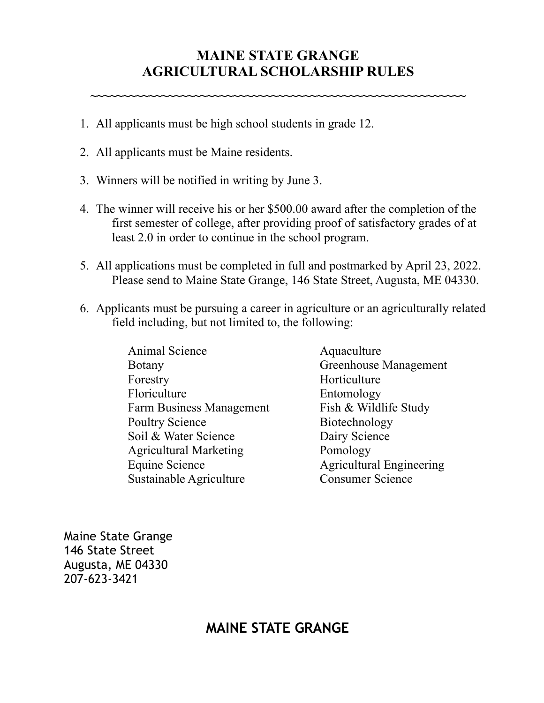## **MAINE STATE GRANGE AGRICULTURAL SCHOLARSHIP RULES**

**~~~~~~~~~~~~~~~~~~~~~~~~~~~~~~~~~~~~~~~~~~~~~~~~~~~~~~~~~~** 

- 1. All applicants must be high school students in grade 12.
- 2. All applicants must be Maine residents.
- 3. Winners will be notified in writing by June 3.
- 4. The winner will receive his or her \$500.00 award after the completion of the first semester of college, after providing proof of satisfactory grades of at least 2.0 in order to continue in the school program.
- 5. All applications must be completed in full and postmarked by April 23, 2022. Please send to Maine State Grange, 146 State Street, Augusta, ME 04330.
- 6. Applicants must be pursuing a career in agriculture or an agriculturally related field including, but not limited to, the following:
	- Animal Science Aquaculture Botany Greenhouse Management Forestry Horticulture Floriculture Entomology Farm Business Management Fish & Wildlife Study Poultry Science Biotechnology Soil & Water Science Dairy Science Agricultural Marketing Pomology Equine Science Agricultural Engineering Sustainable Agriculture Consumer Science

Maine State Grange 146 State Street Augusta, ME 04330 207-623-3421

## **MAINE STATE GRANGE**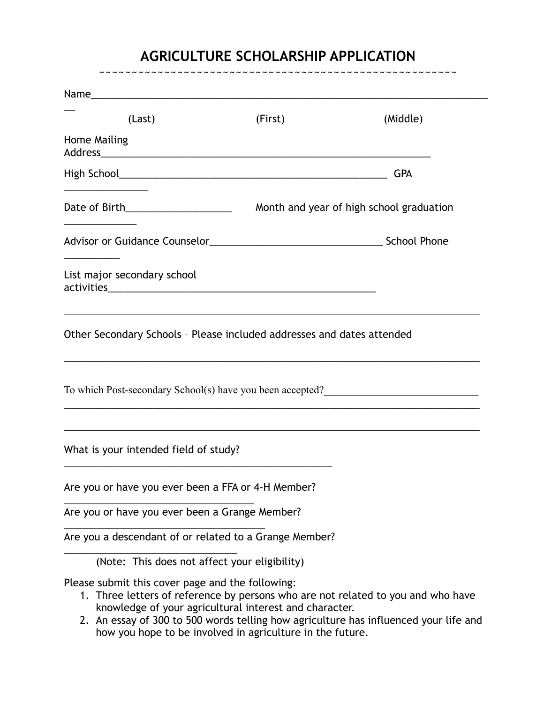## **AGRICULTURE SCHOLARSHIP APPLICATION**  ~~~~~~~~~~~~~~~~~~~~~~~~~~~~~~~~~~~~~~~~~~~~~~~~~~~~~~~

| (Last)                                                                      | (First)                                                | (Middle)                                                                         |
|-----------------------------------------------------------------------------|--------------------------------------------------------|----------------------------------------------------------------------------------|
| <b>Home Mailing</b>                                                         |                                                        |                                                                                  |
|                                                                             |                                                        | <b>GPA</b>                                                                       |
|                                                                             |                                                        |                                                                                  |
|                                                                             |                                                        |                                                                                  |
| List major secondary school                                                 |                                                        |                                                                                  |
| Other Secondary Schools - Please included addresses and dates attended      |                                                        |                                                                                  |
| To which Post-secondary School(s) have you been accepted?<br><u>Letting</u> |                                                        |                                                                                  |
| What is your intended field of study?                                       |                                                        |                                                                                  |
| Are you or have you ever been a FFA or 4-H Member?                          |                                                        |                                                                                  |
| Are you or have you ever been a Grange Member?                              |                                                        |                                                                                  |
| Are you a descendant of or related to a Grange Member?                      |                                                        |                                                                                  |
| (Note: This does not affect your eligibility)                               |                                                        |                                                                                  |
| Please submit this cover page and the following:                            | knowledge of your agricultural interest and character. | 1. Three letters of reference by persons who are not related to you and who have |

2. An essay of 300 to 500 words telling how agriculture has influenced your life and how you hope to be involved in agriculture in the future.